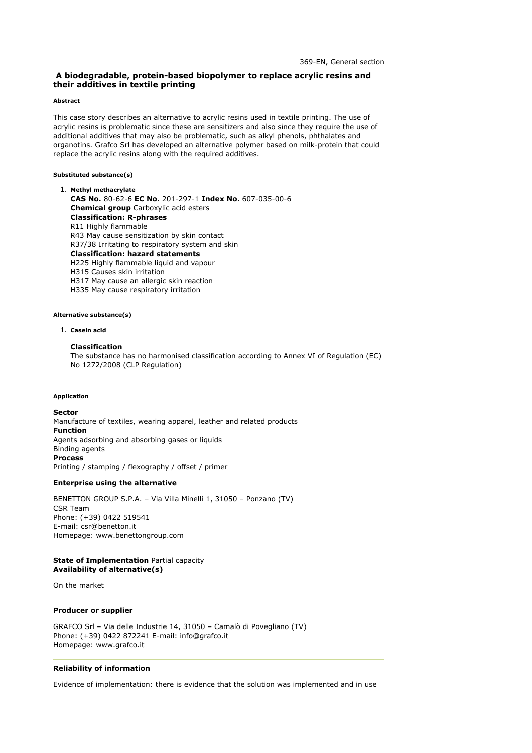# **A biodegradable, protein-based biopolymer to replace acrylic resins and their additives in textile printing**

#### **Abstract**

This case story describes an alternative to acrylic resins used in textile printing. The use of acrylic resins is problematic since these are sensitizers and also since they require the use of additional additives that may also be problematic, such as alkyl phenols, phthalates and organotins. Grafco Srl has developed an alternative polymer based on milk-protein that could replace the acrylic resins along with the required additives.

### **Substituted substance(s)**

**Methyl methacrylate** 1. **CAS No.** 80-62-6 **EC No.** 201-297-1 **Index No.** 607-035-00-6 **Chemical group** Carboxylic acid esters **Classification: R-phrases** R11 Highly flammable R43 May cause sensitization by skin contact R37/38 Irritating to respiratory system and skin **Classification: hazard statements** H225 Highly flammable liquid and vapour H315 Causes skin irritation H317 May cause an allergic skin reaction H335 May cause respiratory irritation

### **Alternative substance(s)**

#### **Casein acid** 1.

## **Classification**

The substance has no harmonised classification according to Annex VI of Regulation (EC) No 1272/2008 (CLP Regulation)

#### **Application**

**Sector** Manufacture of textiles, wearing apparel, leather and related products **Function** Agents adsorbing and absorbing gases or liquids Binding agents **Process** Printing / stamping / flexography / offset / primer

### **Enterprise using the alternative**

BENETTON GROUP S.P.A. – Via Villa Minelli 1, 31050 – Ponzano (TV) CSR Team Phone: (+39) 0422 519541 E-mail: csr@benetton.it Homepage: www.benettongroup.com

## **State of Implementation** Partial capacity **Availability of alternative(s)**

On the market

## **Producer or supplier**

GRAFCO Srl – Via delle Industrie 14, 31050 – Camalò di Povegliano (TV) Phone: (+39) 0422 872241 E-mail: info@grafco.it Homepage: www.grafco.it

#### **Reliability of information**

Evidence of implementation: there is evidence that the solution was implemented and in use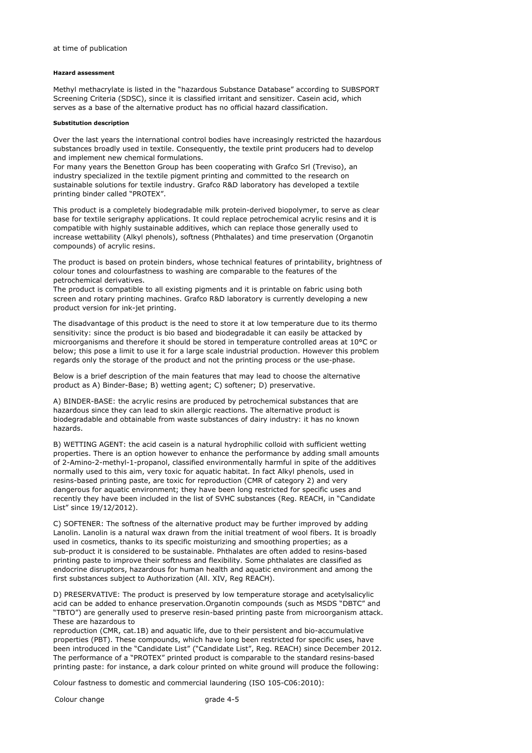## **Hazard assessment**

Methyl methacrylate is listed in the "hazardous Substance Database" according to SUBSPORT Screening Criteria (SDSC), since it is classified irritant and sensitizer. Casein acid, which serves as a base of the alternative product has no official hazard classification.

#### **Substitution description**

Over the last years the international control bodies have increasingly restricted the hazardous substances broadly used in textile. Consequently, the textile print producers had to develop and implement new chemical formulations.

For many years the Benetton Group has been cooperating with Grafco Srl (Treviso), an industry specialized in the textile pigment printing and committed to the research on sustainable solutions for textile industry. Grafco R&D laboratory has developed a textile printing binder called "PROTEX".

This product is a completely biodegradable milk protein-derived biopolymer, to serve as clear base for textile serigraphy applications. It could replace petrochemical acrylic resins and it is compatible with highly sustainable additives, which can replace those generally used to increase wettability (Alkyl phenols), softness (Phthalates) and time preservation (Organotin compounds) of acrylic resins.

The product is based on protein binders, whose technical features of printability, brightness of colour tones and colourfastness to washing are comparable to the features of the petrochemical derivatives.

The product is compatible to all existing pigments and it is printable on fabric using both screen and rotary printing machines. Grafco R&D laboratory is currently developing a new product version for ink-jet printing.

The disadvantage of this product is the need to store it at low temperature due to its thermo sensitivity: since the product is bio based and biodegradable it can easily be attacked by microorganisms and therefore it should be stored in temperature controlled areas at 10°C or below; this pose a limit to use it for a large scale industrial production. However this problem regards only the storage of the product and not the printing process or the use-phase.

Below is a brief description of the main features that may lead to choose the alternative product as A) Binder-Base; B) wetting agent; C) softener; D) preservative.

A) BINDER-BASE: the acrylic resins are produced by petrochemical substances that are hazardous since they can lead to skin allergic reactions. The alternative product is biodegradable and obtainable from waste substances of dairy industry: it has no known hazards.

B) WETTING AGENT: the acid casein is a natural hydrophilic colloid with sufficient wetting properties. There is an option however to enhance the performance by adding small amounts of 2-Amino-2-methyl-1-propanol, classified environmentally harmful in spite of the additives normally used to this aim, very toxic for aquatic habitat. In fact Alkyl phenols, used in resins-based printing paste, are toxic for reproduction (CMR of category 2) and very dangerous for aquatic environment; they have been long restricted for specific uses and recently they have been included in the list of SVHC substances (Reg. REACH, in "Candidate List" since 19/12/2012).

C) SOFTENER: The softness of the alternative product may be further improved by adding Lanolin. Lanolin is a natural wax drawn from the initial treatment of wool fibers. It is broadly used in cosmetics, thanks to its specific moisturizing and smoothing properties; as a sub-product it is considered to be sustainable. Phthalates are often added to resins-based printing paste to improve their softness and flexibility. Some phthalates are classified as endocrine disruptors, hazardous for human health and aquatic environment and among the first substances subject to Authorization (All. XIV, Reg REACH).

D) PRESERVATIVE: The product is preserved by low temperature storage and acetylsalicylic acid can be added to enhance preservation.Organotin compounds (such as MSDS "DBTC" and "TBTO") are generally used to preserve resin-based printing paste from microorganism attack. These are hazardous to

reproduction (CMR, cat.1B) and aquatic life, due to their persistent and bio-accumulative properties (PBT). These compounds, which have long been restricted for specific uses, have been introduced in the "Candidate List" ("Candidate List", Reg. REACH) since December 2012. The performance of a "PROTEX" printed product is comparable to the standard resins-based printing paste: for instance, a dark colour printed on white ground will produce the following:

Colour fastness to domestic and commercial laundering (ISO 105-C06:2010):

Colour change **grade 4-5**